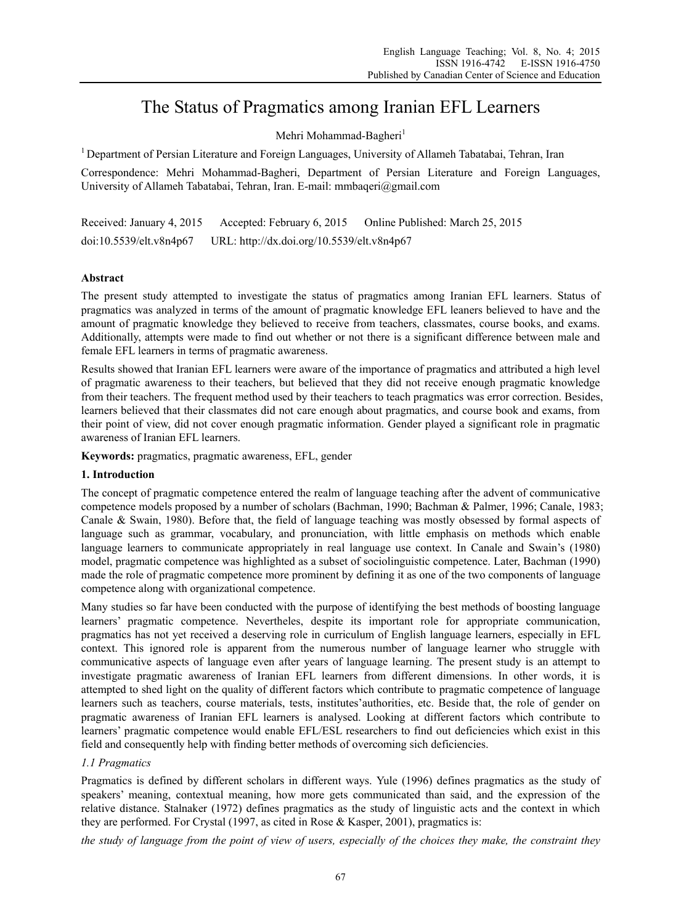# The Status of Pragmatics among Iranian EFL Learners

Mehri Mohammad-Bagheri<sup>1</sup>

1 Department of Persian Literature and Foreign Languages, University of Allameh Tabatabai, Tehran, Iran

Correspondence: Mehri Mohammad-Bagheri, Department of Persian Literature and Foreign Languages, University of Allameh Tabatabai, Tehran, Iran. E-mail: mmbaqeri@gmail.com

Received: January 4, 2015 Accepted: February 6, 2015 Online Published: March 25, 2015 doi:10.5539/elt.v8n4p67 URL: http://dx.doi.org/10.5539/elt.v8n4p67

## **Abstract**

The present study attempted to investigate the status of pragmatics among Iranian EFL learners. Status of pragmatics was analyzed in terms of the amount of pragmatic knowledge EFL leaners believed to have and the amount of pragmatic knowledge they believed to receive from teachers, classmates, course books, and exams. Additionally, attempts were made to find out whether or not there is a significant difference between male and female EFL learners in terms of pragmatic awareness.

Results showed that Iranian EFL learners were aware of the importance of pragmatics and attributed a high level of pragmatic awareness to their teachers, but believed that they did not receive enough pragmatic knowledge from their teachers. The frequent method used by their teachers to teach pragmatics was error correction. Besides, learners believed that their classmates did not care enough about pragmatics, and course book and exams, from their point of view, did not cover enough pragmatic information. Gender played a significant role in pragmatic awareness of Iranian EFL learners.

**Keywords:** pragmatics, pragmatic awareness, EFL, gender

## **1. Introduction**

The concept of pragmatic competence entered the realm of language teaching after the advent of communicative competence models proposed by a number of scholars (Bachman, 1990; Bachman & Palmer, 1996; Canale, 1983; Canale & Swain, 1980). Before that, the field of language teaching was mostly obsessed by formal aspects of language such as grammar, vocabulary, and pronunciation, with little emphasis on methods which enable language learners to communicate appropriately in real language use context. In Canale and Swain's (1980) model, pragmatic competence was highlighted as a subset of sociolinguistic competence. Later, Bachman (1990) made the role of pragmatic competence more prominent by defining it as one of the two components of language competence along with organizational competence.

Many studies so far have been conducted with the purpose of identifying the best methods of boosting language learners' pragmatic competence. Nevertheles, despite its important role for appropriate communication, pragmatics has not yet received a deserving role in curriculum of English language learners, especially in EFL context. This ignored role is apparent from the numerous number of language learner who struggle with communicative aspects of language even after years of language learning. The present study is an attempt to investigate pragmatic awareness of Iranian EFL learners from different dimensions. In other words, it is attempted to shed light on the quality of different factors which contribute to pragmatic competence of language learners such as teachers, course materials, tests, institutes'authorities, etc. Beside that, the role of gender on pragmatic awareness of Iranian EFL learners is analysed. Looking at different factors which contribute to learners' pragmatic competence would enable EFL/ESL researchers to find out deficiencies which exist in this field and consequently help with finding better methods of overcoming sich deficiencies.

## *1.1 Pragmatics*

Pragmatics is defined by different scholars in different ways. Yule (1996) defines pragmatics as the study of speakers' meaning, contextual meaning, how more gets communicated than said, and the expression of the relative distance. Stalnaker (1972) defines pragmatics as the study of linguistic acts and the context in which they are performed. For Crystal (1997, as cited in Rose & Kasper, 2001), pragmatics is:

*the study of language from the point of view of users, especially of the choices they make, the constraint they*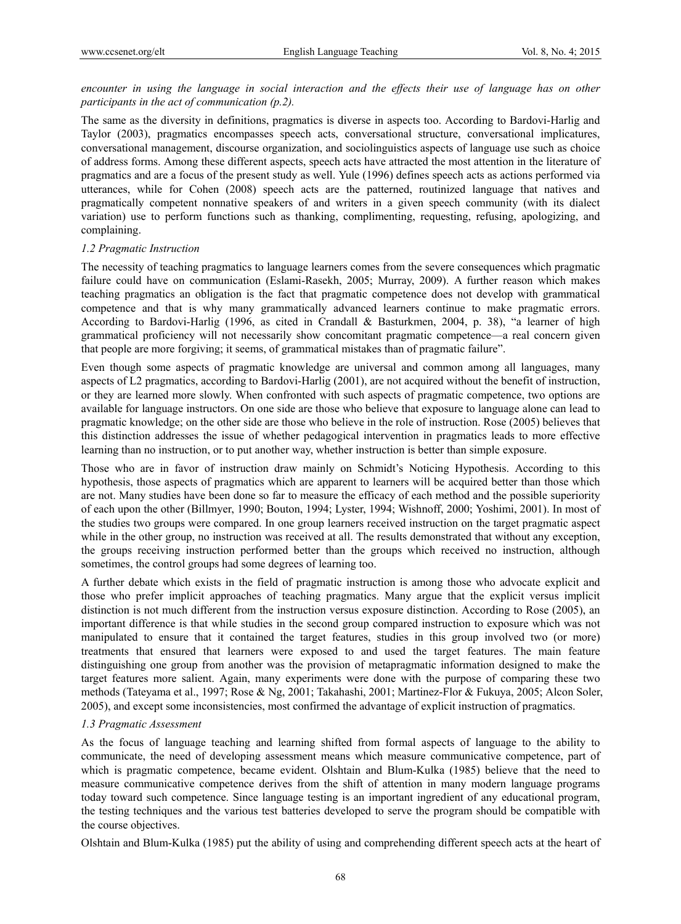## *encounter in using the language in social interaction and the effects their use of language has on other participants in the act of communication (p.2).*

The same as the diversity in definitions, pragmatics is diverse in aspects too. According to Bardovi-Harlig and Taylor (2003), pragmatics encompasses speech acts, conversational structure, conversational implicatures, conversational management, discourse organization, and sociolinguistics aspects of language use such as choice of address forms. Among these different aspects, speech acts have attracted the most attention in the literature of pragmatics and are a focus of the present study as well. Yule (1996) defines speech acts as actions performed via utterances, while for Cohen (2008) speech acts are the patterned, routinized language that natives and pragmatically competent nonnative speakers of and writers in a given speech community (with its dialect variation) use to perform functions such as thanking, complimenting, requesting, refusing, apologizing, and complaining.

#### *1.2 Pragmatic Instruction*

The necessity of teaching pragmatics to language learners comes from the severe consequences which pragmatic failure could have on communication (Eslami-Rasekh, 2005; Murray, 2009). A further reason which makes teaching pragmatics an obligation is the fact that pragmatic competence does not develop with grammatical competence and that is why many grammatically advanced learners continue to make pragmatic errors. According to Bardovi-Harlig (1996, as cited in Crandall & Basturkmen, 2004, p. 38), "a learner of high grammatical proficiency will not necessarily show concomitant pragmatic competence—a real concern given that people are more forgiving; it seems, of grammatical mistakes than of pragmatic failure".

Even though some aspects of pragmatic knowledge are universal and common among all languages, many aspects of L2 pragmatics, according to Bardovi-Harlig (2001), are not acquired without the benefit of instruction, or they are learned more slowly. When confronted with such aspects of pragmatic competence, two options are available for language instructors. On one side are those who believe that exposure to language alone can lead to pragmatic knowledge; on the other side are those who believe in the role of instruction. Rose (2005) believes that this distinction addresses the issue of whether pedagogical intervention in pragmatics leads to more effective learning than no instruction, or to put another way, whether instruction is better than simple exposure.

Those who are in favor of instruction draw mainly on Schmidt's Noticing Hypothesis. According to this hypothesis, those aspects of pragmatics which are apparent to learners will be acquired better than those which are not. Many studies have been done so far to measure the efficacy of each method and the possible superiority of each upon the other (Billmyer, 1990; Bouton, 1994; Lyster, 1994; Wishnoff, 2000; Yoshimi, 2001). In most of the studies two groups were compared. In one group learners received instruction on the target pragmatic aspect while in the other group, no instruction was received at all. The results demonstrated that without any exception, the groups receiving instruction performed better than the groups which received no instruction, although sometimes, the control groups had some degrees of learning too.

A further debate which exists in the field of pragmatic instruction is among those who advocate explicit and those who prefer implicit approaches of teaching pragmatics. Many argue that the explicit versus implicit distinction is not much different from the instruction versus exposure distinction. According to Rose (2005), an important difference is that while studies in the second group compared instruction to exposure which was not manipulated to ensure that it contained the target features, studies in this group involved two (or more) treatments that ensured that learners were exposed to and used the target features. The main feature distinguishing one group from another was the provision of metapragmatic information designed to make the target features more salient. Again, many experiments were done with the purpose of comparing these two methods (Tateyama et al., 1997; Rose & Ng, 2001; Takahashi, 2001; Martinez-Flor & Fukuya, 2005; Alcon Soler, 2005), and except some inconsistencies, most confirmed the advantage of explicit instruction of pragmatics.

#### *1.3 Pragmatic Assessment*

As the focus of language teaching and learning shifted from formal aspects of language to the ability to communicate, the need of developing assessment means which measure communicative competence, part of which is pragmatic competence, became evident. Olshtain and Blum-Kulka (1985) believe that the need to measure communicative competence derives from the shift of attention in many modern language programs today toward such competence. Since language testing is an important ingredient of any educational program, the testing techniques and the various test batteries developed to serve the program should be compatible with the course objectives.

Olshtain and Blum-Kulka (1985) put the ability of using and comprehending different speech acts at the heart of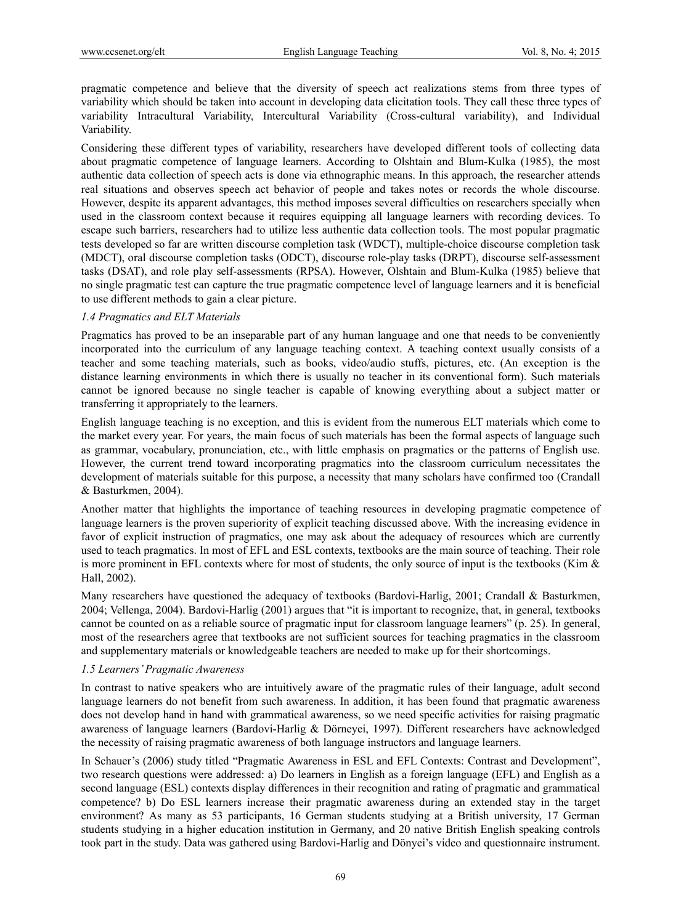pragmatic competence and believe that the diversity of speech act realizations stems from three types of variability which should be taken into account in developing data elicitation tools. They call these three types of variability Intracultural Variability, Intercultural Variability (Cross-cultural variability), and Individual Variability.

Considering these different types of variability, researchers have developed different tools of collecting data about pragmatic competence of language learners. According to Olshtain and Blum-Kulka (1985), the most authentic data collection of speech acts is done via ethnographic means. In this approach, the researcher attends real situations and observes speech act behavior of people and takes notes or records the whole discourse. However, despite its apparent advantages, this method imposes several difficulties on researchers specially when used in the classroom context because it requires equipping all language learners with recording devices. To escape such barriers, researchers had to utilize less authentic data collection tools. The most popular pragmatic tests developed so far are written discourse completion task (WDCT), multiple-choice discourse completion task (MDCT), oral discourse completion tasks (ODCT), discourse role-play tasks (DRPT), discourse self-assessment tasks (DSAT), and role play self-assessments (RPSA). However, Olshtain and Blum-Kulka (1985) believe that no single pragmatic test can capture the true pragmatic competence level of language learners and it is beneficial to use different methods to gain a clear picture.

## *1.4 Pragmatics and ELT Materials*

Pragmatics has proved to be an inseparable part of any human language and one that needs to be conveniently incorporated into the curriculum of any language teaching context. A teaching context usually consists of a teacher and some teaching materials, such as books, video/audio stuffs, pictures, etc. (An exception is the distance learning environments in which there is usually no teacher in its conventional form). Such materials cannot be ignored because no single teacher is capable of knowing everything about a subject matter or transferring it appropriately to the learners.

English language teaching is no exception, and this is evident from the numerous ELT materials which come to the market every year. For years, the main focus of such materials has been the formal aspects of language such as grammar, vocabulary, pronunciation, etc., with little emphasis on pragmatics or the patterns of English use. However, the current trend toward incorporating pragmatics into the classroom curriculum necessitates the development of materials suitable for this purpose, a necessity that many scholars have confirmed too (Crandall & Basturkmen, 2004).

Another matter that highlights the importance of teaching resources in developing pragmatic competence of language learners is the proven superiority of explicit teaching discussed above. With the increasing evidence in favor of explicit instruction of pragmatics, one may ask about the adequacy of resources which are currently used to teach pragmatics. In most of EFL and ESL contexts, textbooks are the main source of teaching. Their role is more prominent in EFL contexts where for most of students, the only source of input is the textbooks (Kim & Hall, 2002).

Many researchers have questioned the adequacy of textbooks (Bardovi-Harlig, 2001; Crandall & Basturkmen, 2004; Vellenga, 2004). Bardovi-Harlig (2001) argues that "it is important to recognize, that, in general, textbooks cannot be counted on as a reliable source of pragmatic input for classroom language learners" (p. 25). In general, most of the researchers agree that textbooks are not sufficient sources for teaching pragmatics in the classroom and supplementary materials or knowledgeable teachers are needed to make up for their shortcomings.

#### *1.5 Learners' Pragmatic Awareness*

In contrast to native speakers who are intuitively aware of the pragmatic rules of their language, adult second language learners do not benefit from such awareness. In addition, it has been found that pragmatic awareness does not develop hand in hand with grammatical awareness, so we need specific activities for raising pragmatic awareness of language learners (Bardovi-Harlig & Dörneyei, 1997). Different researchers have acknowledged the necessity of raising pragmatic awareness of both language instructors and language learners.

In Schauer's (2006) study titled "Pragmatic Awareness in ESL and EFL Contexts: Contrast and Development", two research questions were addressed: a) Do learners in English as a foreign language (EFL) and English as a second language (ESL) contexts display differences in their recognition and rating of pragmatic and grammatical competence? b) Do ESL learners increase their pragmatic awareness during an extended stay in the target environment? As many as 53 participants, 16 German students studying at a British university, 17 German students studying in a higher education institution in Germany, and 20 native British English speaking controls took part in the study. Data was gathered using Bardovi-Harlig and Dönyei's video and questionnaire instrument.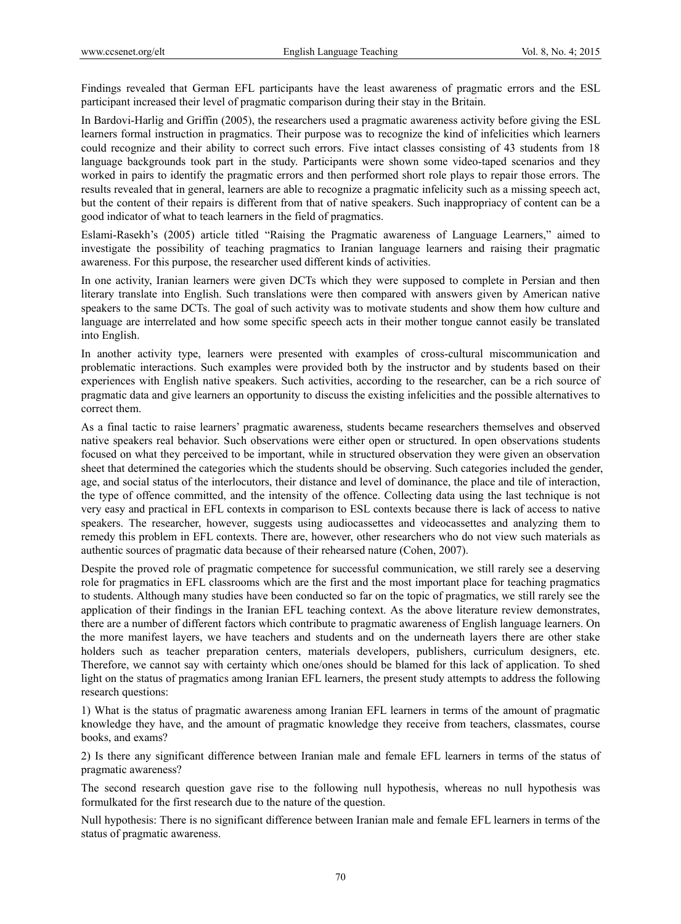Findings revealed that German EFL participants have the least awareness of pragmatic errors and the ESL participant increased their level of pragmatic comparison during their stay in the Britain.

In Bardovi-Harlig and Griffin (2005), the researchers used a pragmatic awareness activity before giving the ESL learners formal instruction in pragmatics. Their purpose was to recognize the kind of infelicities which learners could recognize and their ability to correct such errors. Five intact classes consisting of 43 students from 18 language backgrounds took part in the study. Participants were shown some video-taped scenarios and they worked in pairs to identify the pragmatic errors and then performed short role plays to repair those errors. The results revealed that in general, learners are able to recognize a pragmatic infelicity such as a missing speech act, but the content of their repairs is different from that of native speakers. Such inappropriacy of content can be a good indicator of what to teach learners in the field of pragmatics.

Eslami-Rasekh's (2005) article titled "Raising the Pragmatic awareness of Language Learners," aimed to investigate the possibility of teaching pragmatics to Iranian language learners and raising their pragmatic awareness. For this purpose, the researcher used different kinds of activities.

In one activity, Iranian learners were given DCTs which they were supposed to complete in Persian and then literary translate into English. Such translations were then compared with answers given by American native speakers to the same DCTs. The goal of such activity was to motivate students and show them how culture and language are interrelated and how some specific speech acts in their mother tongue cannot easily be translated into English.

In another activity type, learners were presented with examples of cross-cultural miscommunication and problematic interactions. Such examples were provided both by the instructor and by students based on their experiences with English native speakers. Such activities, according to the researcher, can be a rich source of pragmatic data and give learners an opportunity to discuss the existing infelicities and the possible alternatives to correct them.

As a final tactic to raise learners' pragmatic awareness, students became researchers themselves and observed native speakers real behavior. Such observations were either open or structured. In open observations students focused on what they perceived to be important, while in structured observation they were given an observation sheet that determined the categories which the students should be observing. Such categories included the gender, age, and social status of the interlocutors, their distance and level of dominance, the place and tile of interaction, the type of offence committed, and the intensity of the offence. Collecting data using the last technique is not very easy and practical in EFL contexts in comparison to ESL contexts because there is lack of access to native speakers. The researcher, however, suggests using audiocassettes and videocassettes and analyzing them to remedy this problem in EFL contexts. There are, however, other researchers who do not view such materials as authentic sources of pragmatic data because of their rehearsed nature (Cohen, 2007).

Despite the proved role of pragmatic competence for successful communication, we still rarely see a deserving role for pragmatics in EFL classrooms which are the first and the most important place for teaching pragmatics to students. Although many studies have been conducted so far on the topic of pragmatics, we still rarely see the application of their findings in the Iranian EFL teaching context. As the above literature review demonstrates, there are a number of different factors which contribute to pragmatic awareness of English language learners. On the more manifest layers, we have teachers and students and on the underneath layers there are other stake holders such as teacher preparation centers, materials developers, publishers, curriculum designers, etc. Therefore, we cannot say with certainty which one/ones should be blamed for this lack of application. To shed light on the status of pragmatics among Iranian EFL learners, the present study attempts to address the following research questions:

1) What is the status of pragmatic awareness among Iranian EFL learners in terms of the amount of pragmatic knowledge they have, and the amount of pragmatic knowledge they receive from teachers, classmates, course books, and exams?

2) Is there any significant difference between Iranian male and female EFL learners in terms of the status of pragmatic awareness?

The second research question gave rise to the following null hypothesis, whereas no null hypothesis was formulkated for the first research due to the nature of the question.

Null hypothesis: There is no significant difference between Iranian male and female EFL learners in terms of the status of pragmatic awareness.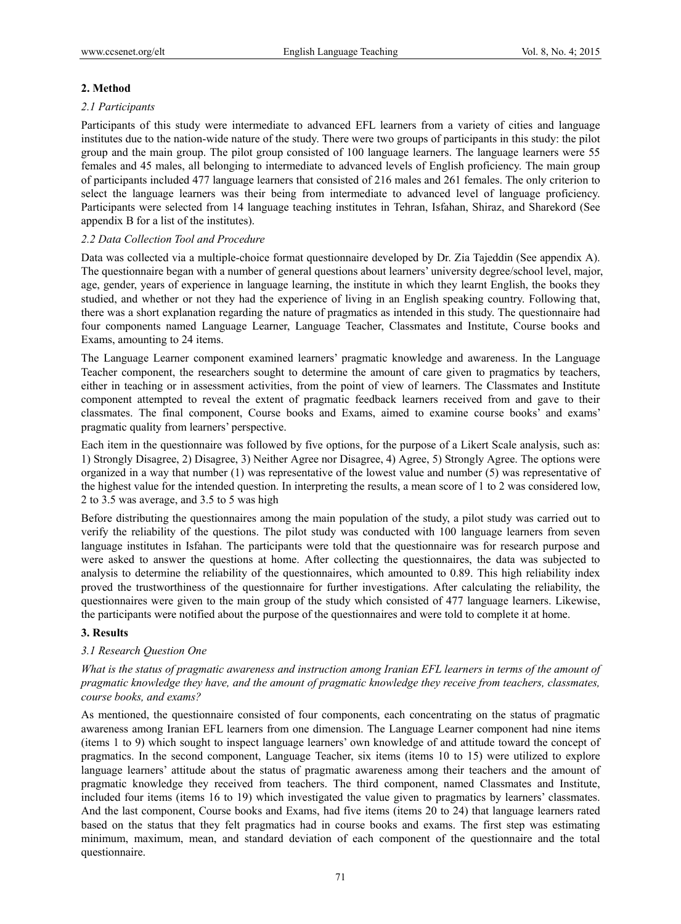## **2. Method**

#### *2.1 Participants*

Participants of this study were intermediate to advanced EFL learners from a variety of cities and language institutes due to the nation-wide nature of the study. There were two groups of participants in this study: the pilot group and the main group. The pilot group consisted of 100 language learners. The language learners were 55 females and 45 males, all belonging to intermediate to advanced levels of English proficiency. The main group of participants included 477 language learners that consisted of 216 males and 261 females. The only criterion to select the language learners was their being from intermediate to advanced level of language proficiency. Participants were selected from 14 language teaching institutes in Tehran, Isfahan, Shiraz, and Sharekord (See appendix B for a list of the institutes).

#### *2.2 Data Collection Tool and Procedure*

Data was collected via a multiple-choice format questionnaire developed by Dr. Zia Tajeddin (See appendix A). The questionnaire began with a number of general questions about learners' university degree/school level, major, age, gender, years of experience in language learning, the institute in which they learnt English, the books they studied, and whether or not they had the experience of living in an English speaking country. Following that, there was a short explanation regarding the nature of pragmatics as intended in this study. The questionnaire had four components named Language Learner, Language Teacher, Classmates and Institute, Course books and Exams, amounting to 24 items.

The Language Learner component examined learners' pragmatic knowledge and awareness. In the Language Teacher component, the researchers sought to determine the amount of care given to pragmatics by teachers, either in teaching or in assessment activities, from the point of view of learners. The Classmates and Institute component attempted to reveal the extent of pragmatic feedback learners received from and gave to their classmates. The final component, Course books and Exams, aimed to examine course books' and exams' pragmatic quality from learners' perspective.

Each item in the questionnaire was followed by five options, for the purpose of a Likert Scale analysis, such as: 1) Strongly Disagree, 2) Disagree, 3) Neither Agree nor Disagree, 4) Agree, 5) Strongly Agree. The options were organized in a way that number (1) was representative of the lowest value and number (5) was representative of the highest value for the intended question. In interpreting the results, a mean score of 1 to 2 was considered low, 2 to 3.5 was average, and 3.5 to 5 was high

Before distributing the questionnaires among the main population of the study, a pilot study was carried out to verify the reliability of the questions. The pilot study was conducted with 100 language learners from seven language institutes in Isfahan. The participants were told that the questionnaire was for research purpose and were asked to answer the questions at home. After collecting the questionnaires, the data was subjected to analysis to determine the reliability of the questionnaires, which amounted to 0.89. This high reliability index proved the trustworthiness of the questionnaire for further investigations. After calculating the reliability, the questionnaires were given to the main group of the study which consisted of 477 language learners. Likewise, the participants were notified about the purpose of the questionnaires and were told to complete it at home.

## **3. Results**

#### *3.1 Research Question One*

*What is the status of pragmatic awareness and instruction among Iranian EFL learners in terms of the amount of pragmatic knowledge they have, and the amount of pragmatic knowledge they receive from teachers, classmates, course books, and exams?* 

As mentioned, the questionnaire consisted of four components, each concentrating on the status of pragmatic awareness among Iranian EFL learners from one dimension. The Language Learner component had nine items (items 1 to 9) which sought to inspect language learners' own knowledge of and attitude toward the concept of pragmatics. In the second component, Language Teacher, six items (items 10 to 15) were utilized to explore language learners' attitude about the status of pragmatic awareness among their teachers and the amount of pragmatic knowledge they received from teachers. The third component, named Classmates and Institute, included four items (items 16 to 19) which investigated the value given to pragmatics by learners' classmates. And the last component, Course books and Exams, had five items (items 20 to 24) that language learners rated based on the status that they felt pragmatics had in course books and exams. The first step was estimating minimum, maximum, mean, and standard deviation of each component of the questionnaire and the total questionnaire.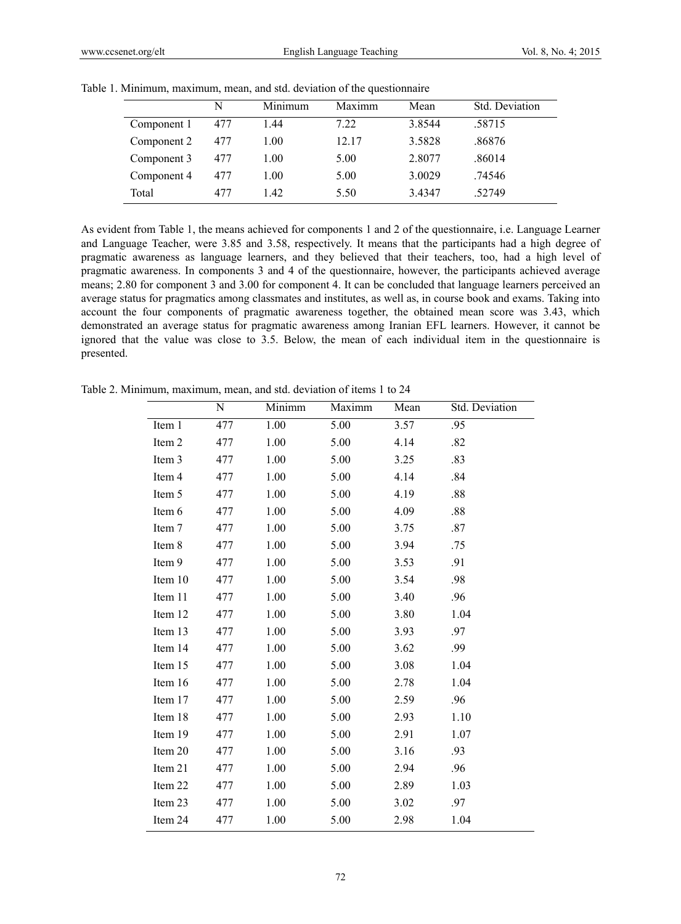|             | N   | Minimum | Maximm | Mean   | Std. Deviation |
|-------------|-----|---------|--------|--------|----------------|
| Component 1 | 477 | 1.44    | 7.22   | 3.8544 | .58715         |
| Component 2 | 477 | 1.00    | 12.17  | 3.5828 | .86876         |
| Component 3 | 477 | 1.00    | 5.00   | 2.8077 | .86014         |
| Component 4 | 477 | 1.00    | 5.00   | 3.0029 | .74546         |
| Total       | 477 | 142     | 5.50   | 3.4347 | .52749         |

Table 1. Minimum, maximum, mean, and std. deviation of the questionnaire

As evident from Table 1, the means achieved for components 1 and 2 of the questionnaire, i.e. Language Learner and Language Teacher, were 3.85 and 3.58, respectively. It means that the participants had a high degree of pragmatic awareness as language learners, and they believed that their teachers, too, had a high level of pragmatic awareness. In components 3 and 4 of the questionnaire, however, the participants achieved average means; 2.80 for component 3 and 3.00 for component 4. It can be concluded that language learners perceived an average status for pragmatics among classmates and institutes, as well as, in course book and exams. Taking into account the four components of pragmatic awareness together, the obtained mean score was 3.43, which demonstrated an average status for pragmatic awareness among Iranian EFL learners. However, it cannot be ignored that the value was close to 3.5. Below, the mean of each individual item in the questionnaire is presented.

Table 2. Minimum, maximum, mean, and std. deviation of items 1 to 24

|         | N   | Minimm | Maximm | Mean | Std. Deviation |
|---------|-----|--------|--------|------|----------------|
| Item 1  | 477 | 1.00   | 5.00   | 3.57 | .95            |
| Item 2  | 477 | 1.00   | 5.00   | 4.14 | .82            |
| Item 3  | 477 | 1.00   | 5.00   | 3.25 | .83            |
| Item 4  | 477 | 1.00   | 5.00   | 4.14 | .84            |
| Item 5  | 477 | 1.00   | 5.00   | 4.19 | .88            |
| Item 6  | 477 | 1.00   | 5.00   | 4.09 | .88            |
| Item 7  | 477 | 1.00   | 5.00   | 3.75 | .87            |
| Item 8  | 477 | 1.00   | 5.00   | 3.94 | .75            |
| Item 9  | 477 | 1.00   | 5.00   | 3.53 | .91            |
| Item 10 | 477 | 1.00   | 5.00   | 3.54 | .98            |
| Item 11 | 477 | 1.00   | 5.00   | 3.40 | .96            |
| Item 12 | 477 | 1.00   | 5.00   | 3.80 | 1.04           |
| Item 13 | 477 | 1.00   | 5.00   | 3.93 | .97            |
| Item 14 | 477 | 1.00   | 5.00   | 3.62 | .99            |
| Item 15 | 477 | 1.00   | 5.00   | 3.08 | 1.04           |
| Item 16 | 477 | 1.00   | 5.00   | 2.78 | 1.04           |
| Item 17 | 477 | 1.00   | 5.00   | 2.59 | .96            |
| Item 18 | 477 | 1.00   | 5.00   | 2.93 | 1.10           |
| Item 19 | 477 | 1.00   | 5.00   | 2.91 | 1.07           |
| Item 20 | 477 | 1.00   | 5.00   | 3.16 | .93            |
| Item 21 | 477 | 1.00   | 5.00   | 2.94 | .96            |
| Item 22 | 477 | 1.00   | 5.00   | 2.89 | 1.03           |
| Item 23 | 477 | 1.00   | 5.00   | 3.02 | .97            |
| Item 24 | 477 | 1.00   | 5.00   | 2.98 | 1.04           |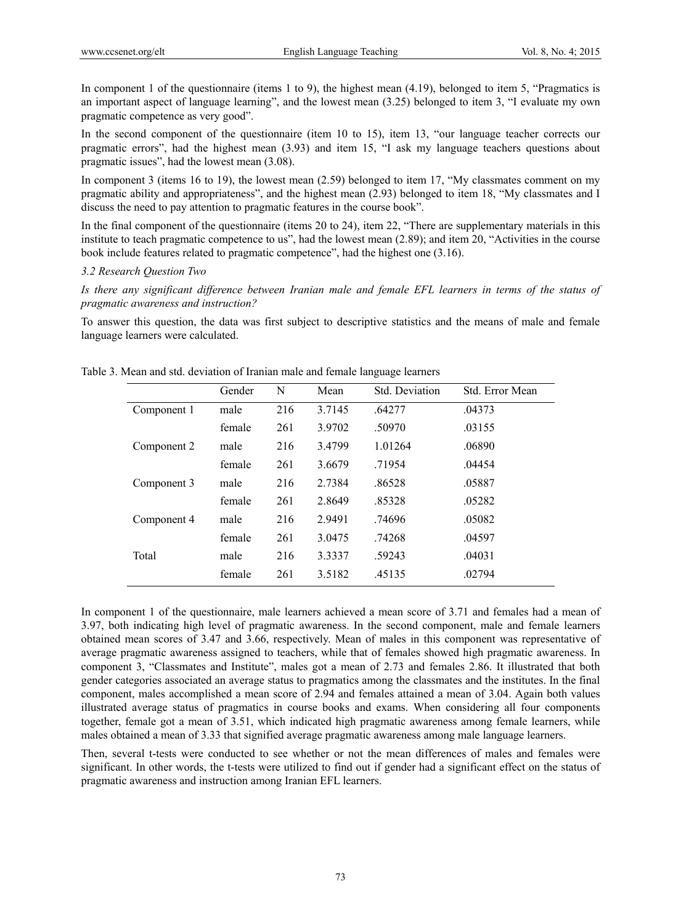In component 1 of the questionnaire (items 1 to 9), the highest mean (4.19), belonged to item 5, "Pragmatics is an important aspect of language learning", and the lowest mean (3.25) belonged to item 3, "I evaluate my own pragmatic competence as very good".

In the second component of the questionnaire (item 10 to 15), item 13, "our language teacher corrects our pragmatic errors", had the highest mean (3.93) and item 15, "I ask my language teachers questions about pragmatic issues", had the lowest mean (3.08).

In component 3 (items 16 to 19), the lowest mean (2.59) belonged to item 17, "My classmates comment on my pragmatic ability and appropriateness", and the highest mean (2.93) belonged to item 18, "My classmates and I discuss the need to pay attention to pragmatic features in the course book".

In the final component of the questionnaire (items 20 to 24), item 22, "There are supplementary materials in this institute to teach pragmatic competence to us", had the lowest mean (2.89); and item 20, "Activities in the course book include features related to pragmatic competence", had the highest one (3.16).

## *3.2 Research Question Two*

*Is there any significant difference between Iranian male and female EFL learners in terms of the status of pragmatic awareness and instruction?* 

To answer this question, the data was first subject to descriptive statistics and the means of male and female language learners were calculated.

|             | Gender | N   | Mean   | Std. Deviation | Std. Error Mean |
|-------------|--------|-----|--------|----------------|-----------------|
| Component 1 | male   | 216 | 3.7145 | .64277         | .04373          |
|             | female | 261 | 3.9702 | .50970         | .03155          |
| Component 2 | male   | 216 | 3.4799 | 1.01264        | .06890          |
|             | female | 261 | 3.6679 | .71954         | .04454          |
| Component 3 | male   | 216 | 2.7384 | .86528         | .05887          |
|             | female | 261 | 2.8649 | .85328         | .05282          |
| Component 4 | male   | 216 | 2.9491 | .74696         | .05082          |
|             | female | 261 | 3.0475 | .74268         | .04597          |
| Total       | male   | 216 | 3.3337 | .59243         | .04031          |
|             | female | 261 | 3.5182 | .45135         | .02794          |

Table 3. Mean and std. deviation of Iranian male and female language learners

In component 1 of the questionnaire, male learners achieved a mean score of 3.71 and females had a mean of 3.97, both indicating high level of pragmatic awareness. In the second component, male and female learners obtained mean scores of 3.47 and 3.66, respectively. Mean of males in this component was representative of average pragmatic awareness assigned to teachers, while that of females showed high pragmatic awareness. In component 3, "Classmates and Institute", males got a mean of 2.73 and females 2.86. It illustrated that both gender categories associated an average status to pragmatics among the classmates and the institutes. In the final component, males accomplished a mean score of 2.94 and females attained a mean of 3.04. Again both values illustrated average status of pragmatics in course books and exams. When considering all four components together, female got a mean of 3.51, which indicated high pragmatic awareness among female learners, while males obtained a mean of 3.33 that signified average pragmatic awareness among male language learners.

Then, several t-tests were conducted to see whether or not the mean differences of males and females were significant. In other words, the t-tests were utilized to find out if gender had a significant effect on the status of pragmatic awareness and instruction among Iranian EFL learners.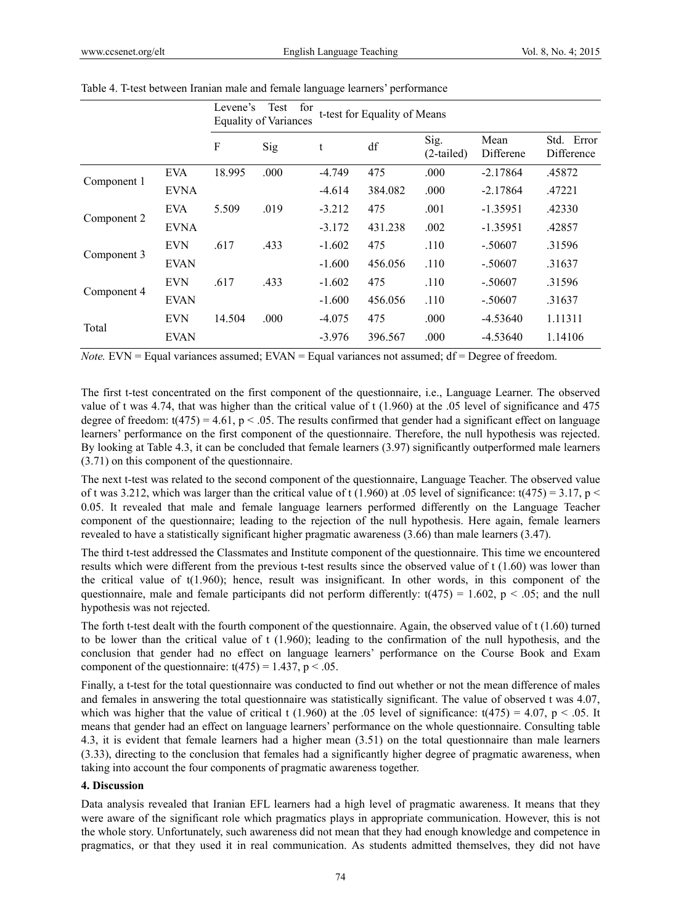|             |             | Levene's | Test<br>for<br><b>Equality of Variances</b> | t-test for Equality of Means |         |                      |                   |                             |  |
|-------------|-------------|----------|---------------------------------------------|------------------------------|---------|----------------------|-------------------|-----------------------------|--|
|             |             | F        | Sig                                         | t                            | df      | Sig.<br>$(2-tailed)$ | Mean<br>Differene | Std.<br>Error<br>Difference |  |
| Component 1 | <b>EVA</b>  | 18.995   | .000                                        | $-4.749$                     | 475     | .000                 | $-2.17864$        | .45872                      |  |
|             | <b>EVNA</b> |          |                                             | $-4.614$                     | 384.082 | .000                 | $-2.17864$        | .47221                      |  |
| Component 2 | <b>EVA</b>  | 5.509    | .019                                        | $-3.212$                     | 475     | .001                 | $-1.35951$        | .42330                      |  |
|             | <b>EVNA</b> |          |                                             | $-3.172$                     | 431.238 | .002                 | $-1.35951$        | .42857                      |  |
| Component 3 | <b>EVN</b>  | .617     | .433                                        | $-1.602$                     | 475     | .110                 | $-.50607$         | .31596                      |  |
|             | <b>EVAN</b> |          |                                             | $-1.600$                     | 456.056 | .110                 | $-.50607$         | .31637                      |  |
| Component 4 | <b>EVN</b>  | .617     | .433                                        | $-1.602$                     | 475     | .110                 | $-.50607$         | .31596                      |  |
|             | <b>EVAN</b> |          |                                             | $-1.600$                     | 456.056 | .110                 | $-.50607$         | .31637                      |  |
| Total       | <b>EVN</b>  | 14.504   | .000                                        | $-4.075$                     | 475     | .000                 | $-4.53640$        | 1.11311                     |  |
|             | <b>EVAN</b> |          |                                             | $-3.976$                     | 396.567 | .000                 | $-4.53640$        | 1.14106                     |  |

#### Table 4. T-test between Iranian male and female language learners' performance

*Note.* EVN = Equal variances assumed; EVAN = Equal variances not assumed;  $df =$  Degree of freedom.

The first t-test concentrated on the first component of the questionnaire, i.e., Language Learner. The observed value of t was 4.74, that was higher than the critical value of t (1.960) at the .05 level of significance and 475 degree of freedom:  $t(475) = 4.61$ , p < .05. The results confirmed that gender had a significant effect on language learners' performance on the first component of the questionnaire. Therefore, the null hypothesis was rejected. By looking at Table 4.3, it can be concluded that female learners (3.97) significantly outperformed male learners (3.71) on this component of the questionnaire.

The next t-test was related to the second component of the questionnaire, Language Teacher. The observed value of t was 3.212, which was larger than the critical value of t (1.960) at .05 level of significance: t(475) = 3.17, p < 0.05. It revealed that male and female language learners performed differently on the Language Teacher component of the questionnaire; leading to the rejection of the null hypothesis. Here again, female learners revealed to have a statistically significant higher pragmatic awareness (3.66) than male learners (3.47).

The third t-test addressed the Classmates and Institute component of the questionnaire. This time we encountered results which were different from the previous t-test results since the observed value of t (1.60) was lower than the critical value of t(1.960); hence, result was insignificant. In other words, in this component of the questionnaire, male and female participants did not perform differently:  $t(475) = 1.602$ , p < .05; and the null hypothesis was not rejected.

The forth t-test dealt with the fourth component of the questionnaire. Again, the observed value of t (1.60) turned to be lower than the critical value of t (1.960); leading to the confirmation of the null hypothesis, and the conclusion that gender had no effect on language learners' performance on the Course Book and Exam component of the questionnaire:  $t(475) = 1.437$ , p < .05.

Finally, a t-test for the total questionnaire was conducted to find out whether or not the mean difference of males and females in answering the total questionnaire was statistically significant. The value of observed t was 4.07, which was higher that the value of critical t (1.960) at the .05 level of significance:  $t(475) = 4.07$ , p < .05. It means that gender had an effect on language learners' performance on the whole questionnaire. Consulting table 4.3, it is evident that female learners had a higher mean (3.51) on the total questionnaire than male learners (3.33), directing to the conclusion that females had a significantly higher degree of pragmatic awareness, when taking into account the four components of pragmatic awareness together.

## **4. Discussion**

Data analysis revealed that Iranian EFL learners had a high level of pragmatic awareness. It means that they were aware of the significant role which pragmatics plays in appropriate communication. However, this is not the whole story. Unfortunately, such awareness did not mean that they had enough knowledge and competence in pragmatics, or that they used it in real communication. As students admitted themselves, they did not have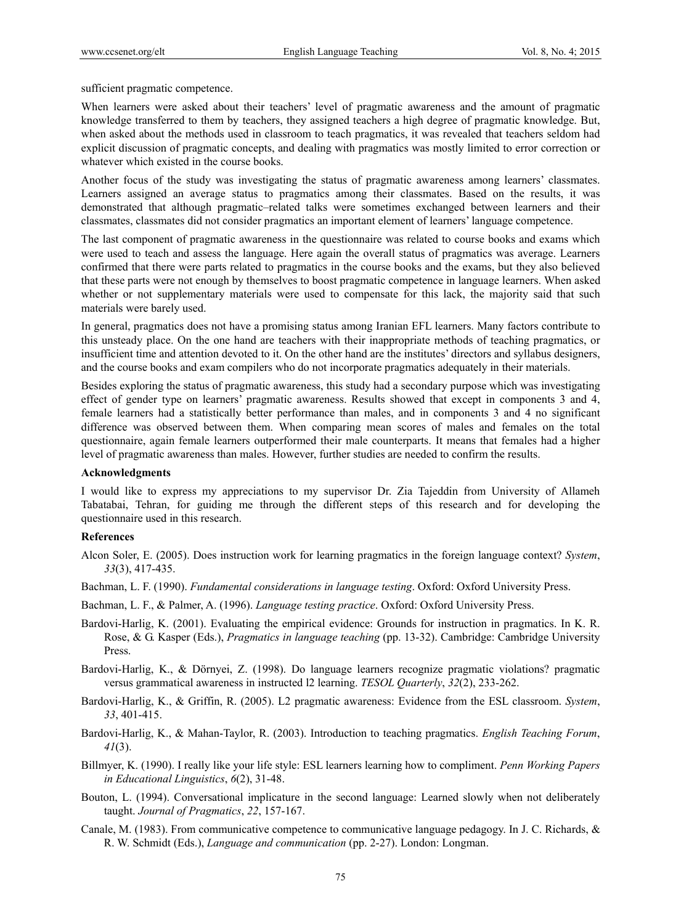sufficient pragmatic competence.

When learners were asked about their teachers' level of pragmatic awareness and the amount of pragmatic knowledge transferred to them by teachers, they assigned teachers a high degree of pragmatic knowledge. But, when asked about the methods used in classroom to teach pragmatics, it was revealed that teachers seldom had explicit discussion of pragmatic concepts, and dealing with pragmatics was mostly limited to error correction or whatever which existed in the course books.

Another focus of the study was investigating the status of pragmatic awareness among learners' classmates. Learners assigned an average status to pragmatics among their classmates. Based on the results, it was demonstrated that although pragmatic–related talks were sometimes exchanged between learners and their classmates, classmates did not consider pragmatics an important element of learners' language competence.

The last component of pragmatic awareness in the questionnaire was related to course books and exams which were used to teach and assess the language. Here again the overall status of pragmatics was average. Learners confirmed that there were parts related to pragmatics in the course books and the exams, but they also believed that these parts were not enough by themselves to boost pragmatic competence in language learners. When asked whether or not supplementary materials were used to compensate for this lack, the majority said that such materials were barely used.

In general, pragmatics does not have a promising status among Iranian EFL learners. Many factors contribute to this unsteady place. On the one hand are teachers with their inappropriate methods of teaching pragmatics, or insufficient time and attention devoted to it. On the other hand are the institutes' directors and syllabus designers, and the course books and exam compilers who do not incorporate pragmatics adequately in their materials.

Besides exploring the status of pragmatic awareness, this study had a secondary purpose which was investigating effect of gender type on learners' pragmatic awareness. Results showed that except in components 3 and 4, female learners had a statistically better performance than males, and in components 3 and 4 no significant difference was observed between them. When comparing mean scores of males and females on the total questionnaire, again female learners outperformed their male counterparts. It means that females had a higher level of pragmatic awareness than males. However, further studies are needed to confirm the results.

#### **Acknowledgments**

I would like to express my appreciations to my supervisor Dr. Zia Tajeddin from University of Allameh Tabatabai, Tehran, for guiding me through the different steps of this research and for developing the questionnaire used in this research.

## **References**

- Alcon Soler, E. (2005). Does instruction work for learning pragmatics in the foreign language context? *System*, *33*(3), 417-435.
- Bachman, L. F. (1990). *Fundamental considerations in language testing*. Oxford: Oxford University Press.
- Bachman, L. F., & Palmer, A. (1996). *Language testing practice*. Oxford: Oxford University Press.
- Bardovi-Harlig, K. (2001). Evaluating the empirical evidence: Grounds for instruction in pragmatics. In K. R. Rose, & G. Kasper (Eds.), *Pragmatics in language teaching* (pp. 13-32). Cambridge: Cambridge University Press.
- Bardovi-Harlig, K., & Dörnyei, Z. (1998). Do language learners recognize pragmatic violations? pragmatic versus grammatical awareness in instructed l2 learning. *TESOL Quarterly*, *32*(2), 233-262.
- Bardovi-Harlig, K., & Griffin, R. (2005). L2 pragmatic awareness: Evidence from the ESL classroom. *System*, *33*, 401-415.
- Bardovi-Harlig, K., & Mahan-Taylor, R. (2003). Introduction to teaching pragmatics. *English Teaching Forum*, *41*(3).
- Billmyer, K. (1990). I really like your life style: ESL learners learning how to compliment. *Penn Working Papers in Educational Linguistics*, *6*(2), 31-48.
- Bouton, L. (1994). Conversational implicature in the second language: Learned slowly when not deliberately taught. *Journal of Pragmatics*, *22*, 157-167.
- Canale, M. (1983). From communicative competence to communicative language pedagogy. In J. C. Richards, & R. W. Schmidt (Eds.), *Language and communication* (pp. 2-27). London: Longman.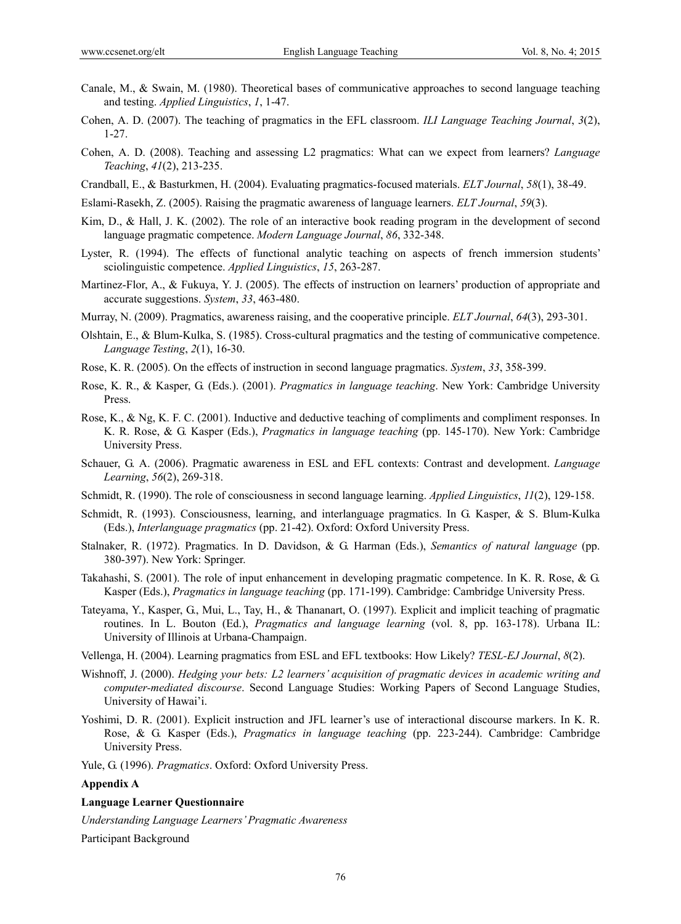- Canale, M., & Swain, M. (1980). Theoretical bases of communicative approaches to second language teaching and testing. *Applied Linguistics*, *1*, 1-47.
- Cohen, A. D. (2007). The teaching of pragmatics in the EFL classroom. *ILI Language Teaching Journal*, *3*(2), 1-27.
- Cohen, A. D. (2008). Teaching and assessing L2 pragmatics: What can we expect from learners? *Language Teaching*, *41*(2), 213-235.
- Crandball, E., & Basturkmen, H. (2004). Evaluating pragmatics-focused materials. *ELT Journal*, *58*(1), 38-49.
- Eslami-Rasekh, Z. (2005). Raising the pragmatic awareness of language learners. *ELT Journal*, *59*(3).
- Kim, D., & Hall, J. K. (2002). The role of an interactive book reading program in the development of second language pragmatic competence. *Modern Language Journal*, *86*, 332-348.
- Lyster, R. (1994). The effects of functional analytic teaching on aspects of french immersion students' sciolinguistic competence. *Applied Linguistics*, *15*, 263-287.
- Martinez-Flor, A., & Fukuya, Y. J. (2005). The effects of instruction on learners' production of appropriate and accurate suggestions. *System*, *33*, 463-480.
- Murray, N. (2009). Pragmatics, awareness raising, and the cooperative principle. *ELT Journal*, *64*(3), 293-301.
- Olshtain, E., & Blum-Kulka, S. (1985). Cross-cultural pragmatics and the testing of communicative competence. *Language Testing*, *2*(1), 16-30.
- Rose, K. R. (2005). On the effects of instruction in second language pragmatics. *System*, *33*, 358-399.
- Rose, K. R., & Kasper, G. (Eds.). (2001). *Pragmatics in language teaching*. New York: Cambridge University Press.
- Rose, K., & Ng, K. F. C. (2001). Inductive and deductive teaching of compliments and compliment responses. In K. R. Rose, & G. Kasper (Eds.), *Pragmatics in language teaching* (pp. 145-170). New York: Cambridge University Press.
- Schauer, G. A. (2006). Pragmatic awareness in ESL and EFL contexts: Contrast and development. *Language Learning*, *56*(2), 269-318.
- Schmidt, R. (1990). The role of consciousness in second language learning. *Applied Linguistics*, *11*(2), 129-158.
- Schmidt, R. (1993). Consciousness, learning, and interlanguage pragmatics. In G. Kasper, & S. Blum-Kulka (Eds.), *Interlanguage pragmatics* (pp. 21-42). Oxford: Oxford University Press.
- Stalnaker, R. (1972). Pragmatics. In D. Davidson, & G. Harman (Eds.), *Semantics of natural language* (pp. 380-397). New York: Springer.
- Takahashi, S. (2001). The role of input enhancement in developing pragmatic competence. In K. R. Rose, & G. Kasper (Eds.), *Pragmatics in language teaching* (pp. 171-199). Cambridge: Cambridge University Press.
- Tateyama, Y., Kasper, G., Mui, L., Tay, H., & Thananart, O. (1997). Explicit and implicit teaching of pragmatic routines. In L. Bouton (Ed.), *Pragmatics and language learning* (vol. 8, pp. 163-178). Urbana IL: University of Illinois at Urbana-Champaign.
- Vellenga, H. (2004). Learning pragmatics from ESL and EFL textbooks: How Likely? *TESL-EJ Journal*, *8*(2).
- Wishnoff, J. (2000). *Hedging your bets: L2 learners' acquisition of pragmatic devices in academic writing and computer-mediated discourse*. Second Language Studies: Working Papers of Second Language Studies, University of Hawai'i.
- Yoshimi, D. R. (2001). Explicit instruction and JFL learner's use of interactional discourse markers. In K. R. Rose, & G. Kasper (Eds.), *Pragmatics in language teaching* (pp. 223-244). Cambridge: Cambridge University Press.

Yule, G. (1996). *Pragmatics*. Oxford: Oxford University Press.

#### **Appendix A**

#### **Language Learner Questionnaire**

*Understanding Language Learners' Pragmatic Awareness* 

Participant Background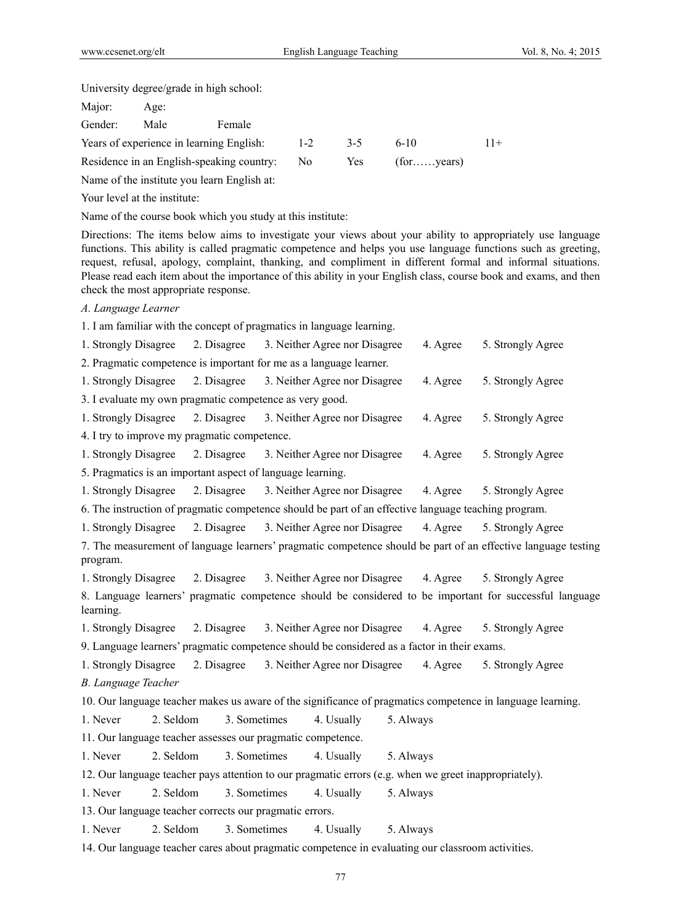University degree/grade in high school:

| Major:                                    | Age: |                                             |       |         |            |       |
|-------------------------------------------|------|---------------------------------------------|-------|---------|------------|-------|
| Gender:                                   | Male | Female                                      |       |         |            |       |
| Years of experience in learning English:  |      |                                             | $1-2$ | $3 - 5$ | $6-10$     | $11+$ |
| Residence in an English-speaking country: |      |                                             | No.   | Yes     | (foryears) |       |
|                                           |      | Name of the institute you learn English at: |       |         |            |       |

Your level at the institute:

Name of the course book which you study at this institute:

Directions: The items below aims to investigate your views about your ability to appropriately use language functions. This ability is called pragmatic competence and helps you use language functions such as greeting, request, refusal, apology, complaint, thanking, and compliment in different formal and informal situations. Please read each item about the importance of this ability in your English class, course book and exams, and then check the most appropriate response.

*A. Language Learner* 

| 1. I am familiar with the concept of pragmatics in language learning.                                                     |  |  |  |  |  |
|---------------------------------------------------------------------------------------------------------------------------|--|--|--|--|--|
| 1. Strongly Disagree<br>2. Disagree<br>3. Neither Agree nor Disagree<br>5. Strongly Agree<br>4. Agree                     |  |  |  |  |  |
| 2. Pragmatic competence is important for me as a language learner.                                                        |  |  |  |  |  |
| 1. Strongly Disagree<br>2. Disagree<br>3. Neither Agree nor Disagree<br>4. Agree<br>5. Strongly Agree                     |  |  |  |  |  |
| 3. I evaluate my own pragmatic competence as very good.                                                                   |  |  |  |  |  |
| 1. Strongly Disagree<br>2. Disagree<br>3. Neither Agree nor Disagree<br>4. Agree<br>5. Strongly Agree                     |  |  |  |  |  |
| 4. I try to improve my pragmatic competence.                                                                              |  |  |  |  |  |
| 1. Strongly Disagree<br>2. Disagree<br>3. Neither Agree nor Disagree<br>4. Agree<br>5. Strongly Agree                     |  |  |  |  |  |
| 5. Pragmatics is an important aspect of language learning.                                                                |  |  |  |  |  |
| 2. Disagree<br>3. Neither Agree nor Disagree<br>1. Strongly Disagree<br>4. Agree<br>5. Strongly Agree                     |  |  |  |  |  |
| 6. The instruction of pragmatic competence should be part of an effective language teaching program.                      |  |  |  |  |  |
| 1. Strongly Disagree<br>2. Disagree<br>3. Neither Agree nor Disagree<br>4. Agree<br>5. Strongly Agree                     |  |  |  |  |  |
| 7. The measurement of language learners' pragmatic competence should be part of an effective language testing<br>program. |  |  |  |  |  |
| 1. Strongly Disagree<br>2. Disagree<br>3. Neither Agree nor Disagree<br>4. Agree<br>5. Strongly Agree                     |  |  |  |  |  |
| 8. Language learners' pragmatic competence should be considered to be important for successful language<br>learning.      |  |  |  |  |  |
| 1. Strongly Disagree<br>2. Disagree<br>3. Neither Agree nor Disagree<br>5. Strongly Agree<br>4. Agree                     |  |  |  |  |  |
| 9. Language learners' pragmatic competence should be considered as a factor in their exams.                               |  |  |  |  |  |
| 1. Strongly Disagree<br>2. Disagree<br>3. Neither Agree nor Disagree<br>4. Agree<br>5. Strongly Agree                     |  |  |  |  |  |
| <b>B.</b> Language Teacher                                                                                                |  |  |  |  |  |
| 10. Our language teacher makes us aware of the significance of pragmatics competence in language learning.                |  |  |  |  |  |
| 2. Seldom<br>3. Sometimes<br>1. Never<br>4. Usually<br>5. Always                                                          |  |  |  |  |  |
| 11. Our language teacher assesses our pragmatic competence.                                                               |  |  |  |  |  |
| 2. Seldom<br>3. Sometimes<br>1. Never<br>4. Usually<br>5. Always                                                          |  |  |  |  |  |
| 12. Our language teacher pays attention to our pragmatic errors (e.g. when we greet inappropriately).                     |  |  |  |  |  |
| 2. Seldom<br>3. Sometimes<br>1. Never<br>4. Usually<br>5. Always                                                          |  |  |  |  |  |
| 13. Our language teacher corrects our pragmatic errors.                                                                   |  |  |  |  |  |
| 2. Seldom<br>3. Sometimes<br>1. Never<br>4. Usually<br>5. Always                                                          |  |  |  |  |  |
| 14. Our language teacher cares about pragmatic competence in evaluating our classroom activities.                         |  |  |  |  |  |
| 77                                                                                                                        |  |  |  |  |  |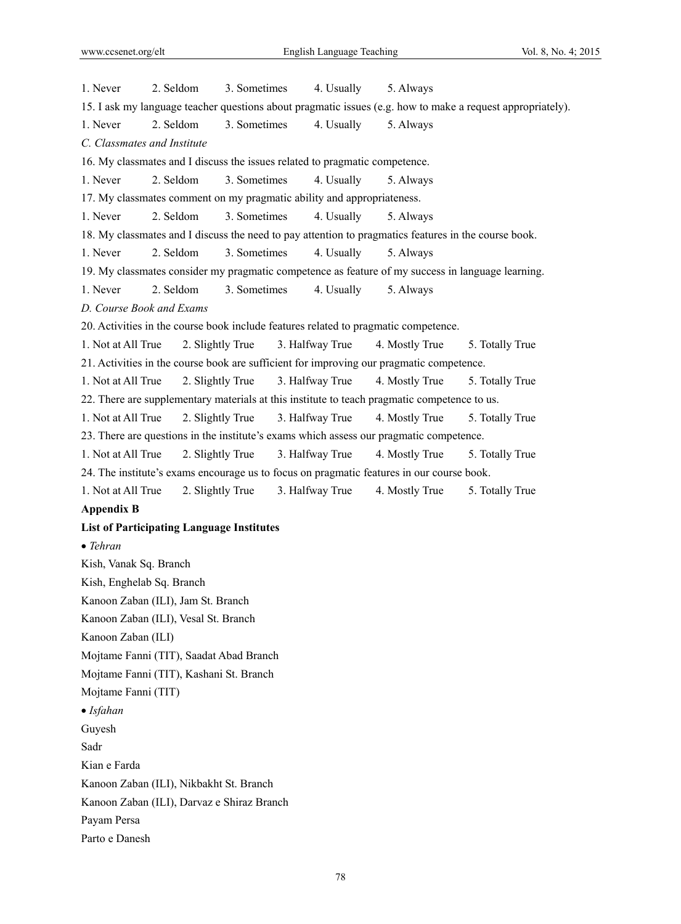1. Never 2. Seldom 3. Sometimes 4. Usually 5. Always 15. I ask my language teacher questions about pragmatic issues (e.g. how to make a request appropriately). 1. Never 2. Seldom 3. Sometimes 4. Usually 5. Always *C. Classmates and Institute*  16. My classmates and I discuss the issues related to pragmatic competence. 1. Never 2. Seldom 3. Sometimes 4. Usually 5. Always 17. My classmates comment on my pragmatic ability and appropriateness. 1. Never 2. Seldom 3. Sometimes 4. Usually 5. Always 18. My classmates and I discuss the need to pay attention to pragmatics features in the course book. 1. Never 2. Seldom 3. Sometimes 4. Usually 5. Always 19. My classmates consider my pragmatic competence as feature of my success in language learning. 1. Never 2. Seldom 3. Sometimes 4. Usually 5. Always *D. Course Book and Exams*  20. Activities in the course book include features related to pragmatic competence. 1. Not at All True 2. Slightly True 3. Halfway True 4. Mostly True 5. Totally True 21. Activities in the course book are sufficient for improving our pragmatic competence. 1. Not at All True 2. Slightly True 3. Halfway True 4. Mostly True 5. Totally True 22. There are supplementary materials at this institute to teach pragmatic competence to us. 1. Not at All True 2. Slightly True 3. Halfway True 4. Mostly True 5. Totally True 23. There are questions in the institute's exams which assess our pragmatic competence. 1. Not at All True 2. Slightly True 3. Halfway True 4. Mostly True 5. Totally True 24. The institute's exams encourage us to focus on pragmatic features in our course book. 1. Not at All True 2. Slightly True 3. Halfway True 4. Mostly True 5. Totally True **Appendix B List of Participating Language Institutes**  *Tehran*  Kish, Vanak Sq. Branch Kish, Enghelab Sq. Branch Kanoon Zaban (ILI), Jam St. Branch Kanoon Zaban (ILI), Vesal St. Branch Kanoon Zaban (ILI) Mojtame Fanni (TIT), Saadat Abad Branch Mojtame Fanni (TIT), Kashani St. Branch Mojtame Fanni (TIT) *Isfahan*  Guyesh Sadr Kian e Farda Kanoon Zaban (ILI), Nikbakht St. Branch Kanoon Zaban (ILI), Darvaz e Shiraz Branch Payam Persa Parto e Danesh